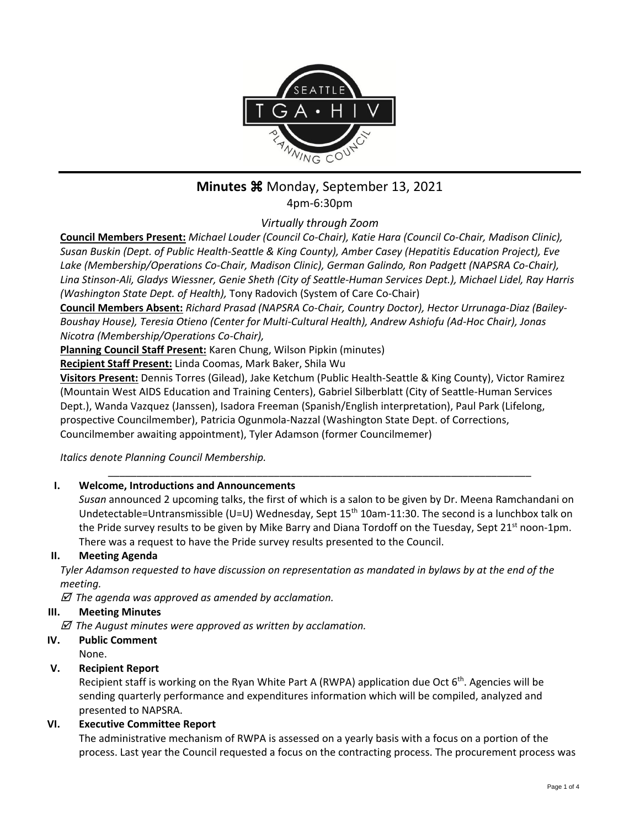

# **Minutes**  $\frac{12}{10}$  Monday, September 13, 2021

4pm-6:30pm

*Virtually through Zoom*

**Council Members Present:** *Michael Louder (Council Co-Chair), Katie Hara (Council Co-Chair, Madison Clinic), Susan Buskin (Dept. of Public Health-Seattle & King County), Amber Casey (Hepatitis Education Project), Eve Lake (Membership/Operations Co-Chair, Madison Clinic), German Galindo, Ron Padgett (NAPSRA Co-Chair), Lina Stinson-Ali, Gladys Wiessner, Genie Sheth (City of Seattle-Human Services Dept.), Michael Lidel, Ray Harris (Washington State Dept. of Health),* Tony Radovich (System of Care Co-Chair)

**Council Members Absent:** *Richard Prasad (NAPSRA Co-Chair, Country Doctor), Hector Urrunaga-Diaz (Bailey-Boushay House), Teresia Otieno (Center for Multi-Cultural Health), Andrew Ashiofu (Ad-Hoc Chair), Jonas Nicotra (Membership/Operations Co-Chair),* 

**Planning Council Staff Present:** Karen Chung, Wilson Pipkin (minutes)

**Recipient Staff Present:** Linda Coomas, Mark Baker, Shila Wu

**Visitors Present:** Dennis Torres (Gilead), Jake Ketchum (Public Health-Seattle & King County), Victor Ramirez (Mountain West AIDS Education and Training Centers), Gabriel Silberblatt (City of Seattle-Human Services Dept.), Wanda Vazquez (Janssen), Isadora Freeman (Spanish/English interpretation), Paul Park (Lifelong, prospective Councilmember), Patricia Ogunmola-Nazzal (Washington State Dept. of Corrections, Councilmember awaiting appointment), Tyler Adamson (former Councilmemer)

*Italics denote Planning Council Membership.* 

## **I. Welcome, Introductions and Announcements**

*Susan* announced 2 upcoming talks, the first of which is a salon to be given by Dr. Meena Ramchandani on Undetectable=Untransmissible (U=U) Wednesday, Sept 15<sup>th</sup> 10am-11:30. The second is a lunchbox talk on the Pride survey results to be given by Mike Barry and Diana Tordoff on the Tuesday, Sept 21<sup>st</sup> noon-1pm. There was a request to have the Pride survey results presented to the Council.

\_\_\_\_\_\_\_\_\_\_\_\_\_\_\_\_\_\_\_\_\_\_\_\_\_\_\_\_\_\_\_\_\_\_\_\_\_\_\_\_\_\_\_\_\_\_\_\_\_\_\_\_\_\_\_\_\_\_\_\_\_\_\_\_\_\_\_\_\_\_\_\_\_\_

## **II. Meeting Agenda**

*Tyler Adamson requested to have discussion on representation as mandated in bylaws by at the end of the meeting.*

 *The agenda was approved as amended by acclamation.*

## **III. Meeting Minutes**

 *The August minutes were approved as written by acclamation.*

## **IV. Public Comment**

None.

## **V. Recipient Report**

Recipient staff is working on the Ryan White Part A (RWPA) application due Oct  $6<sup>th</sup>$ . Agencies will be sending quarterly performance and expenditures information which will be compiled, analyzed and presented to NAPSRA.

## **VI. Executive Committee Report**

The administrative mechanism of RWPA is assessed on a yearly basis with a focus on a portion of the process. Last year the Council requested a focus on the contracting process. The procurement process was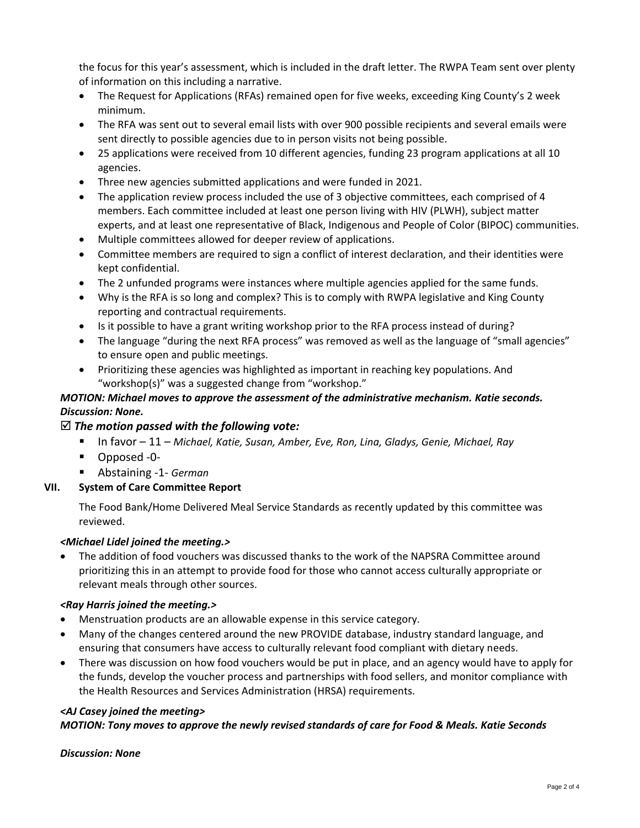the focus for this year's assessment, which is included in the draft letter. The RWPA Team sent over plenty of information on this including a narrative.

- The Request for Applications (RFAs) remained open for five weeks, exceeding King County's 2 week minimum.
- The RFA was sent out to several email lists with over 900 possible recipients and several emails were sent directly to possible agencies due to in person visits not being possible.
- 25 applications were received from 10 different agencies, funding 23 program applications at all 10 agencies.
- Three new agencies submitted applications and were funded in 2021.
- The application review process included the use of 3 objective committees, each comprised of 4 members. Each committee included at least one person living with HIV (PLWH), subject matter experts, and at least one representative of Black, Indigenous and People of Color (BIPOC) communities.
- Multiple committees allowed for deeper review of applications.
- Committee members are required to sign a conflict of interest declaration, and their identities were kept confidential.
- The 2 unfunded programs were instances where multiple agencies applied for the same funds.
- Why is the RFA is so long and complex? This is to comply with RWPA legislative and King County reporting and contractual requirements.
- Is it possible to have a grant writing workshop prior to the RFA process instead of during?
- The language "during the next RFA process" was removed as well as the language of "small agencies" to ensure open and public meetings.
- Prioritizing these agencies was highlighted as important in reaching key populations. And "workshop(s)" was a suggested change from "workshop."

## *MOTION: Michael moves to approve the assessment of the administrative mechanism. Katie seconds. Discussion: None.*

#### *The motion passed with the following vote:*

- In favor 11 *Michael, Katie, Susan, Amber, Eve, Ron, Lina, Gladys, Genie, Michael, Ray*
- Opposed -0-
- Abstaining -1- *German*

#### **VII. System of Care Committee Report**

The Food Bank/Home Delivered Meal Service Standards as recently updated by this committee was reviewed.

#### *<Michael Lidel joined the meeting.>*

• The addition of food vouchers was discussed thanks to the work of the NAPSRA Committee around prioritizing this in an attempt to provide food for those who cannot access culturally appropriate or relevant meals through other sources.

#### *<Ray Harris joined the meeting.>*

- Menstruation products are an allowable expense in this service category.
- Many of the changes centered around the new PROVIDE database, industry standard language, and ensuring that consumers have access to culturally relevant food compliant with dietary needs.
- There was discussion on how food vouchers would be put in place, and an agency would have to apply for the funds, develop the voucher process and partnerships with food sellers, and monitor compliance with the Health Resources and Services Administration (HRSA) requirements.

#### *<AJ Casey joined the meeting>*

#### *MOTION: Tony moves to approve the newly revised standards of care for Food & Meals. Katie Seconds*

#### *Discussion: None*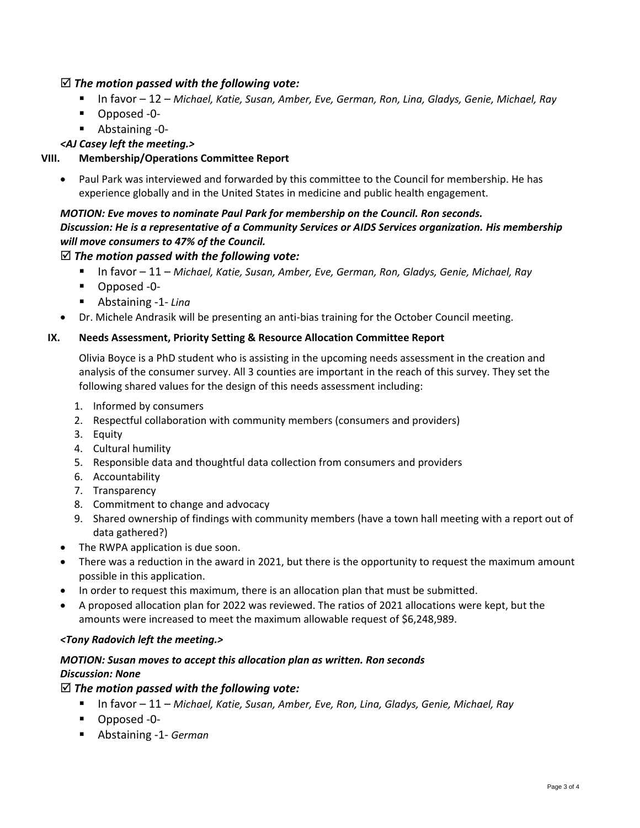## *The motion passed with the following vote:*

- In favor 12 *Michael, Katie, Susan, Amber, Eve, German, Ron, Lina, Gladys, Genie, Michael, Ray*
- Opposed -0-
- Abstaining -0-

*<AJ Casey left the meeting.>*

# **VIII. Membership/Operations Committee Report**

• Paul Park was interviewed and forwarded by this committee to the Council for membership. He has experience globally and in the United States in medicine and public health engagement.

## *MOTION: Eve moves to nominate Paul Park for membership on the Council. Ron seconds. Discussion: He is a representative of a Community Services or AIDS Services organization. His membership will move consumers to 47% of the Council.*

# *The motion passed with the following vote:*

- In favor 11 *Michael, Katie, Susan, Amber, Eve, German, Ron, Gladys, Genie, Michael, Ray*
- Opposed -0-
- Abstaining -1- *Ling*
- Dr. Michele Andrasik will be presenting an anti-bias training for the October Council meeting.

## **IX. Needs Assessment, Priority Setting & Resource Allocation Committee Report**

Olivia Boyce is a PhD student who is assisting in the upcoming needs assessment in the creation and analysis of the consumer survey. All 3 counties are important in the reach of this survey. They set the following shared values for the design of this needs assessment including:

- 1. Informed by consumers
- 2. Respectful collaboration with community members (consumers and providers)
- 3. Equity
- 4. Cultural humility
- 5. Responsible data and thoughtful data collection from consumers and providers
- 6. Accountability
- 7. Transparency
- 8. Commitment to change and advocacy
- 9. Shared ownership of findings with community members (have a town hall meeting with a report out of data gathered?)
- The RWPA application is due soon.
- There was a reduction in the award in 2021, but there is the opportunity to request the maximum amount possible in this application.
- In order to request this maximum, there is an allocation plan that must be submitted.
- A proposed allocation plan for 2022 was reviewed. The ratios of 2021 allocations were kept, but the amounts were increased to meet the maximum allowable request of \$6,248,989.

#### *<Tony Radovich left the meeting.>*

## *MOTION: Susan moves to accept this allocation plan as written. Ron seconds Discussion: None*

#### *The motion passed with the following vote:*

- In favor 11 Michael, Katie, Susan, Amber, Eve, Ron, Lina, Gladys, Genie, Michael, Ray
- Opposed -0-
- Abstaining -1- *German*